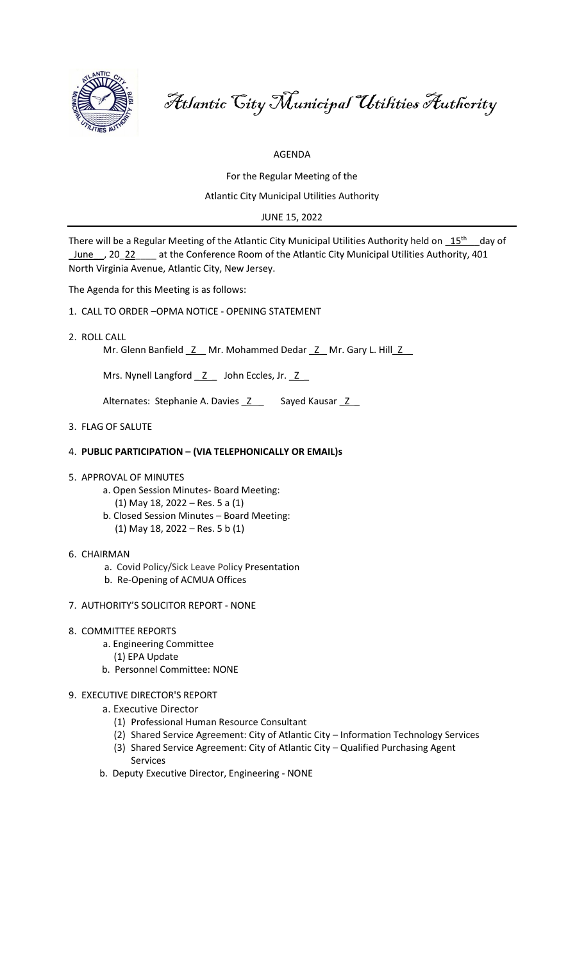

Atlantic City Municipal Utilities Authority

AGENDA

For the Regular Meeting of the

Atlantic City Municipal Utilities Authority

JUNE 15, 2022

There will be a Regular Meeting of the Atlantic City Municipal Utilities Authority held on  $15^{\text{th}}$  aay of \_June\_\_, 20\_22\_\_\_\_ at the Conference Room of the Atlantic City Municipal Utilities Authority, 401 North Virginia Avenue, Atlantic City, New Jersey.

The Agenda for this Meeting is as follows:

- 1. CALL TO ORDER –OPMA NOTICE OPENING STATEMENT
- 2. ROLL CALL

Mr. Glenn Banfield \_Z \_ Mr. Mohammed Dedar \_Z \_ Mr. Gary L. Hill \_Z \_

Mrs. Nynell Langford \_\_ Z\_\_\_ John Eccles, Jr. \_ Z\_\_

Alternates: Stephanie A. Davies \_Z \_ Sayed Kausar \_Z \_

3. FLAG OF SALUTE

# 4. **PUBLIC PARTICIPATION – (VIA TELEPHONICALLY OR EMAIL)s**

- 5. APPROVAL OF MINUTES
	- a. Open Session Minutes- Board Meeting:
		- (1) May 18, 2022 Res. 5 a (1)
	- b. Closed Session Minutes Board Meeting:
	- (1) May 18, 2022 Res. 5 b (1)
- 6. CHAIRMAN
	- a. Covid Policy/Sick Leave Policy Presentation
	- b. Re-Opening of ACMUA Offices
- 7. AUTHORITY'S SOLICITOR REPORT NONE
- 8. COMMITTEE REPORTS
	- a. Engineering Committee
		- (1) EPA Update
	- b. Personnel Committee: NONE
- 9. EXECUTIVE DIRECTOR'S REPORT
	- a. Executive Director
		- (1) Professional Human Resource Consultant
		- (2) Shared Service Agreement: City of Atlantic City Information Technology Services
		- (3) Shared Service Agreement: City of Atlantic City Qualified Purchasing Agent Services
	- b. Deputy Executive Director, Engineering NONE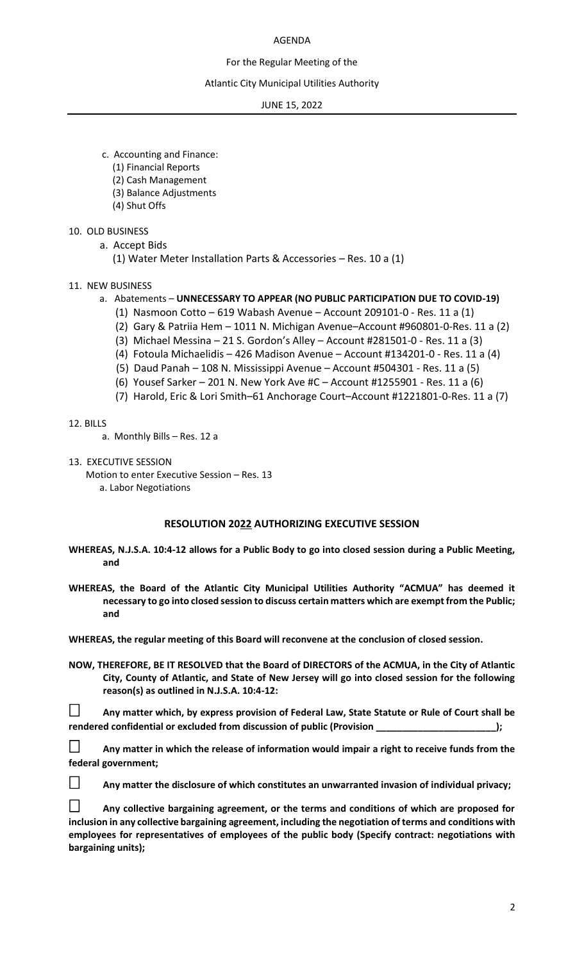# AGENDA

# For the Regular Meeting of the

## Atlantic City Municipal Utilities Authority

JUNE 15, 2022

- c. Accounting and Finance:
	- (1) Financial Reports
	- (2) Cash Management
	- (3) Balance Adjustments
	- (4) Shut Offs

# 10. OLD BUSINESS

- a. Accept Bids
	- (1) Water Meter Installation Parts & Accessories Res. 10 a (1)
- 11. NEW BUSINESS
	- a. Abatements **UNNECESSARY TO APPEAR (NO PUBLIC PARTICIPATION DUE TO COVID-19)**
		- (1) Nasmoon Cotto 619 Wabash Avenue Account 209101-0 Res. 11 a (1)
		- (2) Gary & Patriia Hem 1011 N. Michigan Avenue–Account #960801-0-Res. 11 a (2)
		- (3) Michael Messina 21 S. Gordon's Alley Account #281501-0 Res. 11 a (3)
		- (4) Fotoula Michaelidis 426 Madison Avenue Account #134201-0 Res. 11 a (4)
		- (5) Daud Panah 108 N. Mississippi Avenue Account #504301 Res. 11 a (5)
		- (6) Yousef Sarker 201 N. New York Ave #C Account #1255901 Res. 11 a (6)
		- (7) Harold, Eric & Lori Smith–61 Anchorage Court–Account #1221801-0-Res. 11 a (7)

12. BILLS

- a. Monthly Bills Res. 12 a
- 13. EXECUTIVE SESSION

Motion to enter Executive Session – Res. 13 a. Labor Negotiations

# **RESOLUTION 2022 AUTHORIZING EXECUTIVE SESSION**

- **WHEREAS, N.J.S.A. 10:4-12 allows for a Public Body to go into closed session during a Public Meeting, and**
- **WHEREAS, the Board of the Atlantic City Municipal Utilities Authority "ACMUA" has deemed it necessary to go into closed session to discuss certain matters which are exempt from the Public; and**

**WHEREAS, the regular meeting of this Board will reconvene at the conclusion of closed session.**

**NOW, THEREFORE, BE IT RESOLVED that the Board of DIRECTORS of the ACMUA, in the City of Atlantic City, County of Atlantic, and State of New Jersey will go into closed session for the following reason(s) as outlined in N.J.S.A. 10:4-12:**

 **Any matter which, by express provision of Federal Law, State Statute or Rule of Court shall be rendered confidential or excluded from discussion of public (Provision \_\_\_\_\_\_\_\_\_\_\_\_\_\_\_\_\_\_\_\_\_\_\_);**

 **Any matter in which the release of information would impair a right to receive funds from the federal government;**



**Any matter the disclosure of which constitutes an unwarranted invasion of individual privacy;**

 **Any collective bargaining agreement, or the terms and conditions of which are proposed for inclusion in any collective bargaining agreement, including the negotiation of terms and conditions with employees for representatives of employees of the public body (Specify contract: negotiations with bargaining units);**